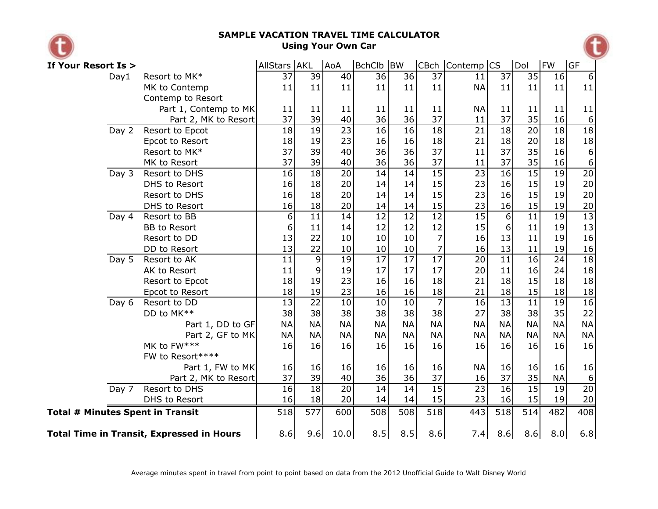

## **SAMPLE VACATION TRAVEL TIME CALCULATOR Using Your Own Car**



| If Your Resort Is >                              |                      | AllStars AKL |                 | AoA             | BchClb BW       |                 |                 | CBch Contemp CS |                 | Dol             | <b>FW</b>       | lGF              |
|--------------------------------------------------|----------------------|--------------|-----------------|-----------------|-----------------|-----------------|-----------------|-----------------|-----------------|-----------------|-----------------|------------------|
| Day1                                             | 37                   | 39           | 40              | 36              | 36              | 37              | 11              | 37              | 35              | 16              | $6\overline{6}$ |                  |
| MK to Contemp                                    |                      | 11           | 11              | 11              | 11              | 11              | 11              | <b>NA</b>       | 11              | 11              | 11              | 11               |
|                                                  | Contemp to Resort    |              |                 |                 |                 |                 |                 |                 |                 |                 |                 |                  |
| Part 1, Contemp to MK                            |                      | 11           | 11              | 11              | 11              | 11              | 11              | <b>NA</b>       | 11              | 11              | 11              | 11               |
|                                                  | 37                   | 39           | 40              | 36              | 36              | 37              | 11              | 37              | 35              | 16              | 6               |                  |
| Day 2<br>Resort to Epcot                         |                      | 18           | 19              | $\overline{23}$ | $\overline{16}$ | $\overline{16}$ | $\overline{18}$ | $\overline{21}$ | $\overline{18}$ | $\overline{20}$ | $\overline{18}$ | $\overline{18}$  |
|                                                  | Epcot to Resort      | 18           | 19              | 23              | 16              | 16              | 18              | 21              | 18              | 20              | 18              | $18\,$           |
|                                                  | Resort to MK*        | 37           | 39              | 40              | 36              | 36              | 37              | 11              | 37              | 35              | 16              | $\boldsymbol{6}$ |
|                                                  | MK to Resort         | 37           | 39              | 40              | 36              | 36              | 37              | 11              | 37              | 35              | 16              | $\overline{6}$   |
| Day 3                                            | Resort to DHS        | 16           | 18              | 20              | 14              | 14              | 15              | 23              | 16              | 15              | 19              | 20               |
|                                                  | DHS to Resort        | 16           | 18              | 20              | 14              | 14              | 15              | 23              | 16              | 15              | 19              | 20               |
|                                                  | Resort to DHS        | 16           | 18              | 20              | 14              | 14              | 15              | 23              | 16              | 15              | 19              | 20               |
|                                                  | DHS to Resort        | 16           | 18              | 20              | 14              | 14              | 15              | 23              | 16              | 15              | 19              | $20\,$           |
| Day 4                                            | Resort to BB         | 6            | 11              | 14              | 12              | $\overline{12}$ | $\overline{12}$ | 15              | $\overline{6}$  | $\overline{11}$ | 19              | $\overline{13}$  |
|                                                  | <b>BB</b> to Resort  | 6            | 11              | 14              | 12              | 12              | 12              | 15              | 6               | 11              | 19              | 13               |
|                                                  | Resort to DD         | 13           | 22              | 10              | 10              | 10              | 7               | 16              | 13              | 11              | 19              | 16               |
|                                                  | DD to Resort         | 13           | 22              | 10              | 10              | 10              | 7               | 16              | 13              | 11              | 19              | <b>16</b>        |
| Day 5                                            | Resort to AK         | 11           | 9               | 19              | 17              | $\overline{17}$ | $\overline{17}$ | 20              | 11              | 16              | 24              | $\overline{18}$  |
|                                                  | AK to Resort         | 11           | 9               | 19              | 17              | 17              | 17              | 20              | 11              | 16              | 24              | 18               |
|                                                  | Resort to Epcot      | 18           | 19              | 23              | 16              | 16              | 18              | 21              | 18              | 15              | 18              | 18               |
|                                                  | Epcot to Resort      | 18           | 19              | 23              | 16              | 16              | 18              | 21              | 18              | 15              | 18              | <u>18</u>        |
| Day 6                                            | Resort to DD         | 13           | $\overline{22}$ | 10              | 10              | 10              | $\overline{7}$  | $\overline{16}$ | $\overline{13}$ | $\overline{11}$ | $\overline{19}$ | 16               |
|                                                  | DD to MK**           | 38           | 38              | 38              | 38              | 38              | 38              | 27              | 38              | 38              | 35              | 22               |
|                                                  | Part 1, DD to GF     | <b>NA</b>    | <b>NA</b>       | <b>NA</b>       | <b>NA</b>       | <b>NA</b>       | <b>NA</b>       | <b>NA</b>       | <b>NA</b>       | <b>NA</b>       | <b>NA</b>       | <b>NA</b>        |
|                                                  | Part 2, GF to MK     | <b>NA</b>    | <b>NA</b>       | <b>NA</b>       | <b>NA</b>       | <b>NA</b>       | <b>NA</b>       | <b>NA</b>       | <b>NA</b>       | <b>NA</b>       | <b>NA</b>       | <b>NA</b>        |
|                                                  | MK to FW***          | 16           | 16              | 16              | 16              | 16              | 16              | 16              | 16              | 16              | 16              | 16               |
|                                                  | FW to Resort****     |              |                 |                 |                 |                 |                 |                 |                 |                 |                 |                  |
|                                                  | Part 1, FW to MK     | 16           | 16              | 16              | 16              | 16              | 16              | <b>NA</b>       | 16              | 16              | 16              | 16               |
|                                                  | Part 2, MK to Resort | 37           | 39              | 40              | 36              | 36              | 37              | 16              | 37              | 35              | <b>NA</b>       | 6                |
| Day 7                                            | Resort to DHS        | 16           | 18              | 20              | 14              | 14              | 15              | 23              | 16              | 15              | 19              | 20               |
|                                                  | DHS to Resort        | 16           | 18              | 20              | 14              | 14              | 15              | 23              | 16              | 15              | 19              | 20               |
| <b>Total # Minutes Spent in Transit</b>          | 518                  | 577          | 600             | 508             | 508             | 518             | 443             | 518             | 514             | 482             | 408             |                  |
| <b>Total Time in Transit, Expressed in Hours</b> | 8.6                  | 9.6          | 10.0            | 8.5             | 8.5             | 8.6             | 7.4             | 8.6             | 8.6             | 8.0             | 6.8             |                  |